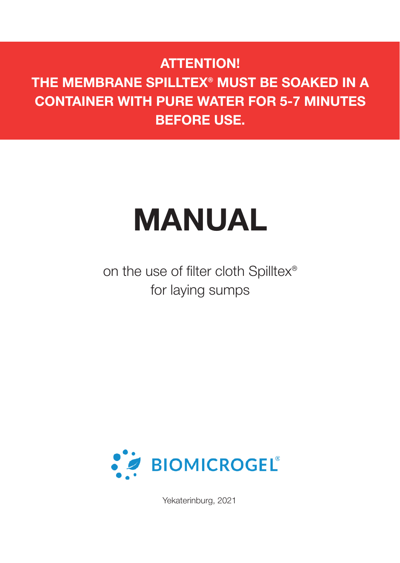### **ATTENTION!**

**THE MEMBRANE SPILLTEX® MUST BE SOAKED IN A CONTAINER WITH PURE WATER FOR 5-7 MINUTES BEFORE USE.**

# **MANUAL**

on the use of filter cloth Spilltex® for laying sumps



Yekaterinburg, 2021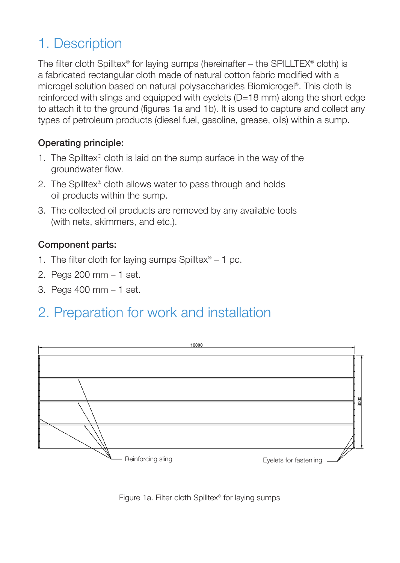## 1. Description

The filter cloth Spilltex® for laying sumps (hereinafter – the SPILLTEX® cloth) is a fabricated rectangular cloth made of natural cotton fabric modified with a microgel solution based on natural polysaccharides Biomicrogel®. This cloth is reinforced with slings and equipped with eyelets (D=18 mm) along the short edge to attach it to the ground (figures 1a and 1b). It is used to capture and collect any types of petroleum products (diesel fuel, gasoline, grease, oils) within a sump.

#### Operating principle:

- 1. The Spilltex® cloth is laid on the sump surface in the way of the groundwater flow.
- 2. The Spilltex® cloth allows water to pass through and holds oil products within the sump.
- 3. The collected oil products are removed by any available tools (with nets, skimmers, and etc.).

#### Component parts:

- 1. The filter cloth for laying sumps Spilltex® 1 pc.
- 2. Pegs 200 mm 1 set.
- 3. Pegs 400 mm 1 set.

## 2. Preparation for work and installation



Figure 1a. Filter cloth Spilltex® for laying sumps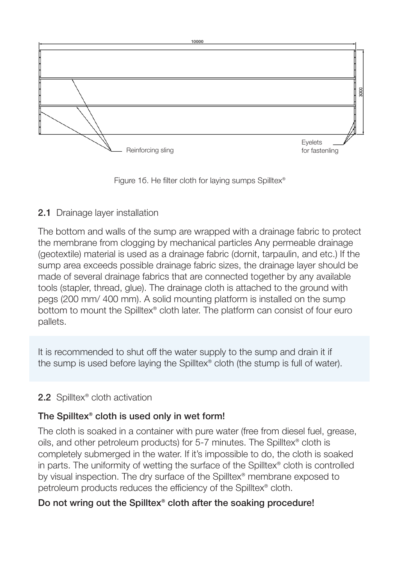

Figure 16. He filter cloth for laying sumps Spilltex®

#### 2.1 Drainage layer installation

The bottom and walls of the sump are wrapped with a drainage fabric to protect the membrane from clogging by mechanical particles Any permeable drainage (geotextile) material is used as a drainage fabric (dornit, tarpaulin, and etc.) If the sump area exceeds possible drainage fabric sizes, the drainage layer should be made of several drainage fabrics that are connected together by any available tools (stapler, thread, glue). The drainage cloth is attached to the ground with pegs (200 mm/ 400 mm). A solid mounting platform is installed on the sump bottom to mount the Spilltex® cloth later. The platform can consist of four euro pallets.

It is recommended to shut off the water supply to the sump and drain it if the sump is used before laying the Spilltex® cloth (the stump is full of water).

#### 2.2 Spilltex<sup>®</sup> cloth activation

#### The Spilltex® cloth is used only in wet form!

The cloth is soaked in a container with pure water (free from diesel fuel, grease, oils, and other petroleum products) for 5-7 minutes. The Spilltex® cloth is completely submerged in the water. If it's impossible to do, the cloth is soaked in parts. The uniformity of wetting the surface of the Spilltex® cloth is controlled by visual inspection. The dry surface of the Spilltex® membrane exposed to petroleum products reduces the efficiency of the Spilltex® cloth.

#### Do not wring out the Spilltex® cloth after the soaking procedure!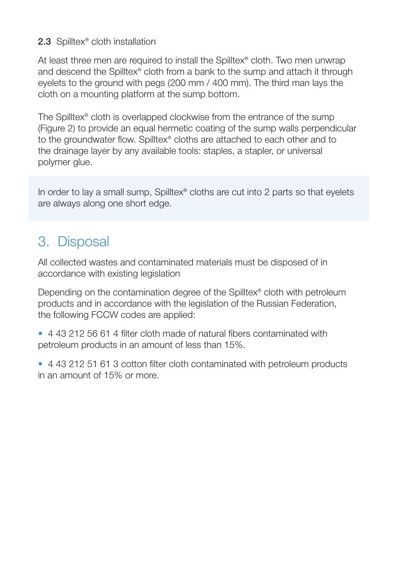#### 2.3 Spilltex<sup>®</sup> cloth installation

At least three men are required to install the Spilltex® cloth. Two men unwrap and descend the Spilltex® cloth from a bank to the sump and attach it through eyelets to the ground with pegs (200 mm / 400 mm). The third man lays the cloth on a mounting platform at the sump bottom.

The Spilltex® cloth is overlapped clockwise from the entrance of the sump (Figure 2) to provide an equal hermetic coating of the sump walls perpendicular to the groundwater flow. Spilltex® cloths are attached to each other and to the drainage layer by any available tools: staples, a stapler, or universal polymer glue.

In order to lay a small sump, Spilltex® cloths are cut into 2 parts so that eyelets are always along one short edge.

## 3. Disposal

All collected wastes and contaminated materials must be disposed of in accordance with existing legislation

Depending on the contamination degree of the Spilltex® cloth with petroleum products and in accordance with the legislation of the Russian Federation, the following FCCW codes are applied:

- 4 43 212 56 61 4 filter cloth made of natural fibers contaminated with petroleum products in an amount of less than 15%.
- 4 43 212 51 61 3 cotton filter cloth contaminated with petroleum products in an amount of 15% or more.